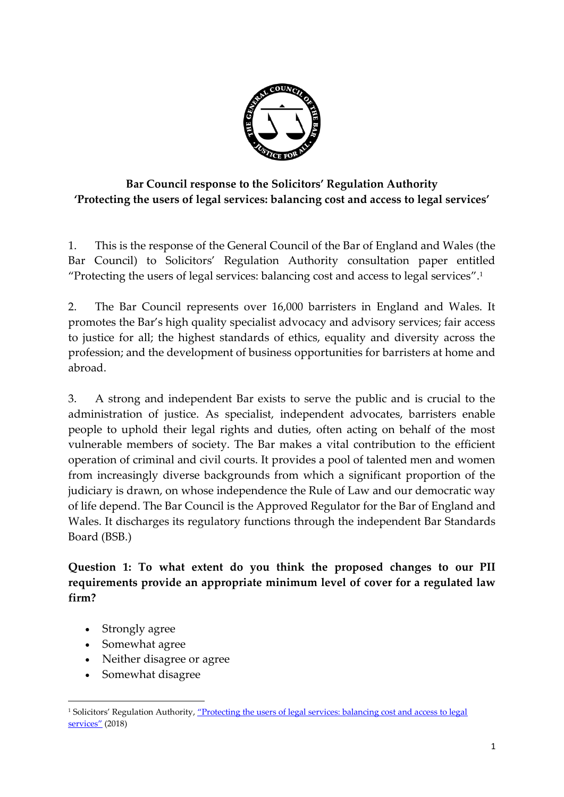

# **Bar Council response to the Solicitors' Regulation Authority 'Protecting the users of legal services: balancing cost and access to legal services'**

1. This is the response of the General Council of the Bar of England and Wales (the Bar Council) to Solicitors' Regulation Authority consultation paper entitled "Protecting the users of legal services: balancing cost and access to legal services". 1

2. The Bar Council represents over 16,000 barristers in England and Wales. It promotes the Bar's high quality specialist advocacy and advisory services; fair access to justice for all; the highest standards of ethics, equality and diversity across the profession; and the development of business opportunities for barristers at home and abroad.

3. A strong and independent Bar exists to serve the public and is crucial to the administration of justice. As specialist, independent advocates, barristers enable people to uphold their legal rights and duties, often acting on behalf of the most vulnerable members of society. The Bar makes a vital contribution to the efficient operation of criminal and civil courts. It provides a pool of talented men and women from increasingly diverse backgrounds from which a significant proportion of the judiciary is drawn, on whose independence the Rule of Law and our democratic way of life depend. The Bar Council is the Approved Regulator for the Bar of England and Wales. It discharges its regulatory functions through the independent Bar Standards Board (BSB.)

**Question 1: To what extent do you think the proposed changes to our PII requirements provide an appropriate minimum level of cover for a regulated law firm?** 

• Strongly agree

1

- Somewhat agree
- Neither disagree or agree
- Somewhat disagree

<sup>1</sup> Solicitors' Regulation Authority, "[Protecting the users of legal services: balancing cost and access to legal](https://www.sra.org.uk/sra/consultations/access-legal-services.page#download)  [services](https://www.sra.org.uk/sra/consultations/access-legal-services.page#download)" (2018)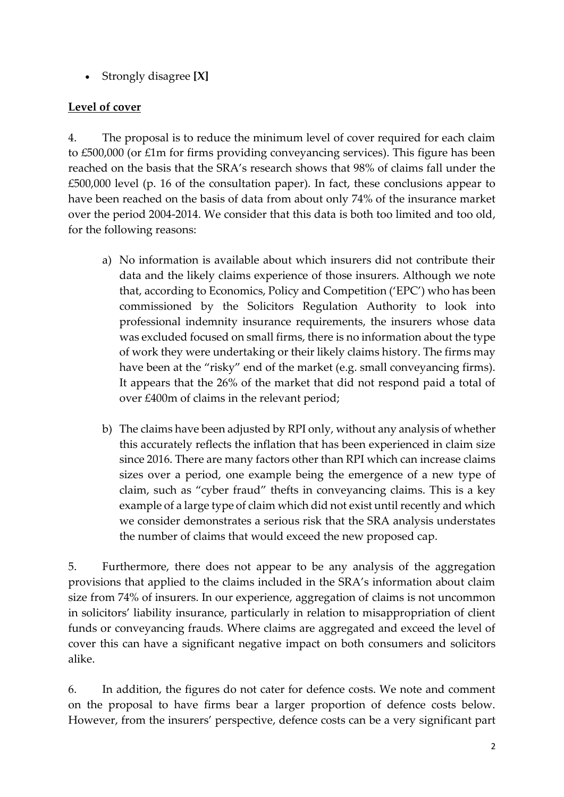• Strongly disagree **[X]**

# **Level of cover**

4. The proposal is to reduce the minimum level of cover required for each claim to £500,000 (or £1m for firms providing conveyancing services). This figure has been reached on the basis that the SRA's research shows that 98% of claims fall under the £500,000 level (p. 16 of the consultation paper). In fact, these conclusions appear to have been reached on the basis of data from about only 74% of the insurance market over the period 2004-2014. We consider that this data is both too limited and too old, for the following reasons:

- a) No information is available about which insurers did not contribute their data and the likely claims experience of those insurers. Although we note that, according to Economics, Policy and Competition ('EPC') who has been commissioned by the Solicitors Regulation Authority to look into professional indemnity insurance requirements, the insurers whose data was excluded focused on small firms, there is no information about the type of work they were undertaking or their likely claims history. The firms may have been at the "risky" end of the market (e.g. small conveyancing firms). It appears that the 26% of the market that did not respond paid a total of over £400m of claims in the relevant period;
- b) The claims have been adjusted by RPI only, without any analysis of whether this accurately reflects the inflation that has been experienced in claim size since 2016. There are many factors other than RPI which can increase claims sizes over a period, one example being the emergence of a new type of claim, such as "cyber fraud" thefts in conveyancing claims. This is a key example of a large type of claim which did not exist until recently and which we consider demonstrates a serious risk that the SRA analysis understates the number of claims that would exceed the new proposed cap.

5. Furthermore, there does not appear to be any analysis of the aggregation provisions that applied to the claims included in the SRA's information about claim size from 74% of insurers. In our experience, aggregation of claims is not uncommon in solicitors' liability insurance, particularly in relation to misappropriation of client funds or conveyancing frauds. Where claims are aggregated and exceed the level of cover this can have a significant negative impact on both consumers and solicitors alike.

6. In addition, the figures do not cater for defence costs. We note and comment on the proposal to have firms bear a larger proportion of defence costs below. However, from the insurers' perspective, defence costs can be a very significant part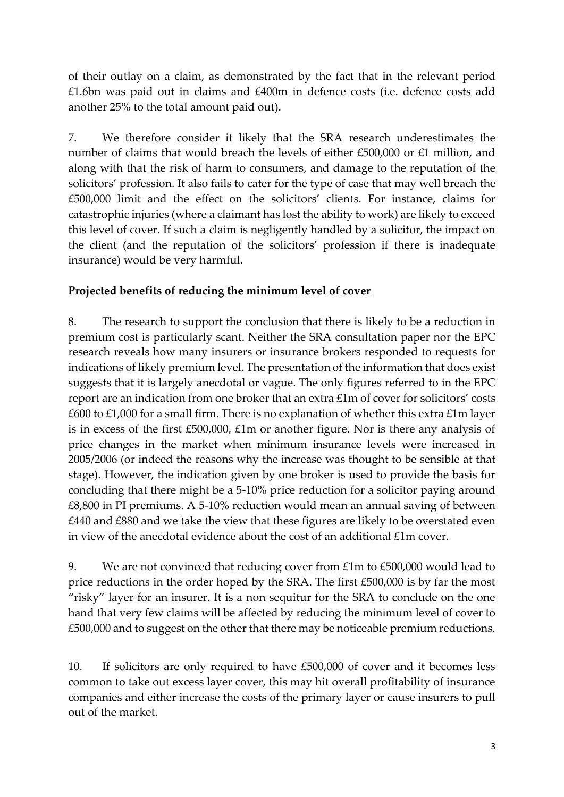of their outlay on a claim, as demonstrated by the fact that in the relevant period £1.6bn was paid out in claims and £400m in defence costs (i.e. defence costs add another 25% to the total amount paid out).

7. We therefore consider it likely that the SRA research underestimates the number of claims that would breach the levels of either £500,000 or £1 million, and along with that the risk of harm to consumers, and damage to the reputation of the solicitors' profession. It also fails to cater for the type of case that may well breach the £500,000 limit and the effect on the solicitors' clients. For instance, claims for catastrophic injuries (where a claimant has lost the ability to work) are likely to exceed this level of cover. If such a claim is negligently handled by a solicitor, the impact on the client (and the reputation of the solicitors' profession if there is inadequate insurance) would be very harmful.

### **Projected benefits of reducing the minimum level of cover**

8. The research to support the conclusion that there is likely to be a reduction in premium cost is particularly scant. Neither the SRA consultation paper nor the EPC research reveals how many insurers or insurance brokers responded to requests for indications of likely premium level. The presentation of the information that does exist suggests that it is largely anecdotal or vague. The only figures referred to in the EPC report are an indication from one broker that an extra £1m of cover for solicitors' costs £600 to £1,000 for a small firm. There is no explanation of whether this extra  $£1m$  layer is in excess of the first £500,000, £1m or another figure. Nor is there any analysis of price changes in the market when minimum insurance levels were increased in 2005/2006 (or indeed the reasons why the increase was thought to be sensible at that stage). However, the indication given by one broker is used to provide the basis for concluding that there might be a 5-10% price reduction for a solicitor paying around £8,800 in PI premiums. A 5-10% reduction would mean an annual saving of between £440 and £880 and we take the view that these figures are likely to be overstated even in view of the anecdotal evidence about the cost of an additional  $£1m$  cover.

9. We are not convinced that reducing cover from £1m to £500,000 would lead to price reductions in the order hoped by the SRA. The first £500,000 is by far the most "risky" layer for an insurer. It is a non sequitur for the SRA to conclude on the one hand that very few claims will be affected by reducing the minimum level of cover to £500,000 and to suggest on the other that there may be noticeable premium reductions.

10. If solicitors are only required to have £500,000 of cover and it becomes less common to take out excess layer cover, this may hit overall profitability of insurance companies and either increase the costs of the primary layer or cause insurers to pull out of the market.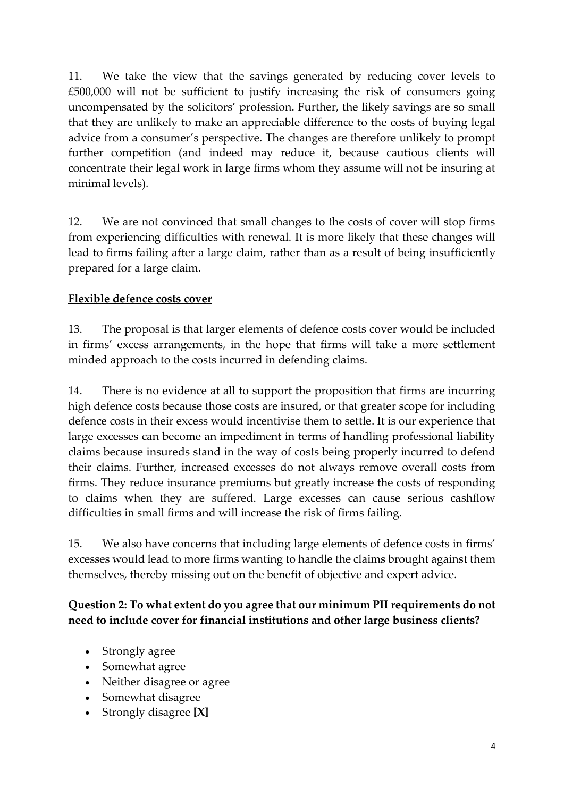11. We take the view that the savings generated by reducing cover levels to £500,000 will not be sufficient to justify increasing the risk of consumers going uncompensated by the solicitors' profession. Further, the likely savings are so small that they are unlikely to make an appreciable difference to the costs of buying legal advice from a consumer's perspective. The changes are therefore unlikely to prompt further competition (and indeed may reduce it, because cautious clients will concentrate their legal work in large firms whom they assume will not be insuring at minimal levels).

12. We are not convinced that small changes to the costs of cover will stop firms from experiencing difficulties with renewal. It is more likely that these changes will lead to firms failing after a large claim, rather than as a result of being insufficiently prepared for a large claim.

### **Flexible defence costs cover**

13. The proposal is that larger elements of defence costs cover would be included in firms' excess arrangements, in the hope that firms will take a more settlement minded approach to the costs incurred in defending claims.

14. There is no evidence at all to support the proposition that firms are incurring high defence costs because those costs are insured, or that greater scope for including defence costs in their excess would incentivise them to settle. It is our experience that large excesses can become an impediment in terms of handling professional liability claims because insureds stand in the way of costs being properly incurred to defend their claims. Further, increased excesses do not always remove overall costs from firms. They reduce insurance premiums but greatly increase the costs of responding to claims when they are suffered. Large excesses can cause serious cashflow difficulties in small firms and will increase the risk of firms failing.

15. We also have concerns that including large elements of defence costs in firms' excesses would lead to more firms wanting to handle the claims brought against them themselves, thereby missing out on the benefit of objective and expert advice.

## **Question 2: To what extent do you agree that our minimum PII requirements do not need to include cover for financial institutions and other large business clients?**

- Strongly agree
- Somewhat agree
- Neither disagree or agree
- Somewhat disagree
- Strongly disagree **[X]**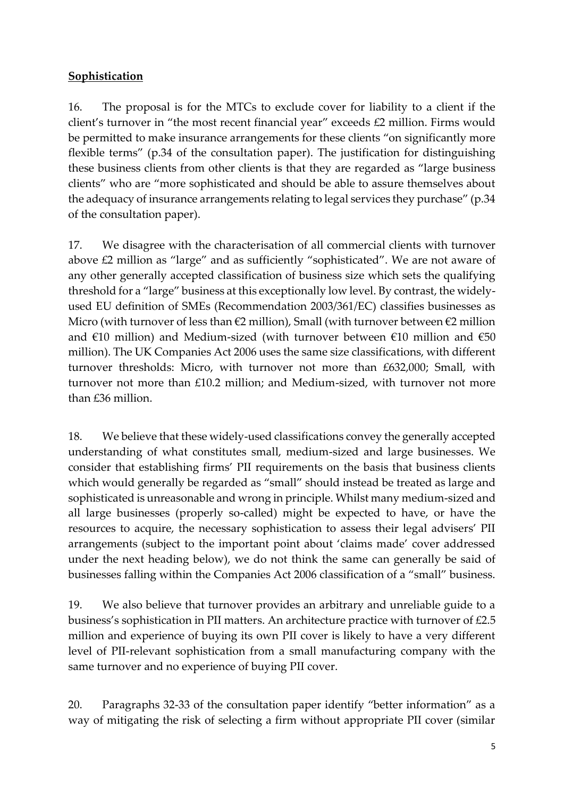## **Sophistication**

16. The proposal is for the MTCs to exclude cover for liability to a client if the client's turnover in "the most recent financial year" exceeds £2 million. Firms would be permitted to make insurance arrangements for these clients "on significantly more flexible terms" (p.34 of the consultation paper). The justification for distinguishing these business clients from other clients is that they are regarded as "large business clients" who are "more sophisticated and should be able to assure themselves about the adequacy of insurance arrangements relating to legal services they purchase" (p.34 of the consultation paper).

17. We disagree with the characterisation of all commercial clients with turnover above £2 million as "large" and as sufficiently "sophisticated". We are not aware of any other generally accepted classification of business size which sets the qualifying threshold for a "large" business at this exceptionally low level. By contrast, the widelyused EU definition of SMEs (Recommendation 2003/361/EC) classifies businesses as Micro (with turnover of less than  $\epsilon$ 2 million), Small (with turnover between  $\epsilon$ 2 million and  $€10$  million) and Medium-sized (with turnover between  $€10$  million and  $€50$ million). The UK Companies Act 2006 uses the same size classifications, with different turnover thresholds: Micro, with turnover not more than £632,000; Small, with turnover not more than £10.2 million; and Medium-sized, with turnover not more than £36 million.

18. We believe that these widely-used classifications convey the generally accepted understanding of what constitutes small, medium-sized and large businesses. We consider that establishing firms' PII requirements on the basis that business clients which would generally be regarded as "small" should instead be treated as large and sophisticated is unreasonable and wrong in principle. Whilst many medium-sized and all large businesses (properly so-called) might be expected to have, or have the resources to acquire, the necessary sophistication to assess their legal advisers' PII arrangements (subject to the important point about 'claims made' cover addressed under the next heading below), we do not think the same can generally be said of businesses falling within the Companies Act 2006 classification of a "small" business.

19. We also believe that turnover provides an arbitrary and unreliable guide to a business's sophistication in PII matters. An architecture practice with turnover of £2.5 million and experience of buying its own PII cover is likely to have a very different level of PII-relevant sophistication from a small manufacturing company with the same turnover and no experience of buying PII cover.

20. Paragraphs 32-33 of the consultation paper identify "better information" as a way of mitigating the risk of selecting a firm without appropriate PII cover (similar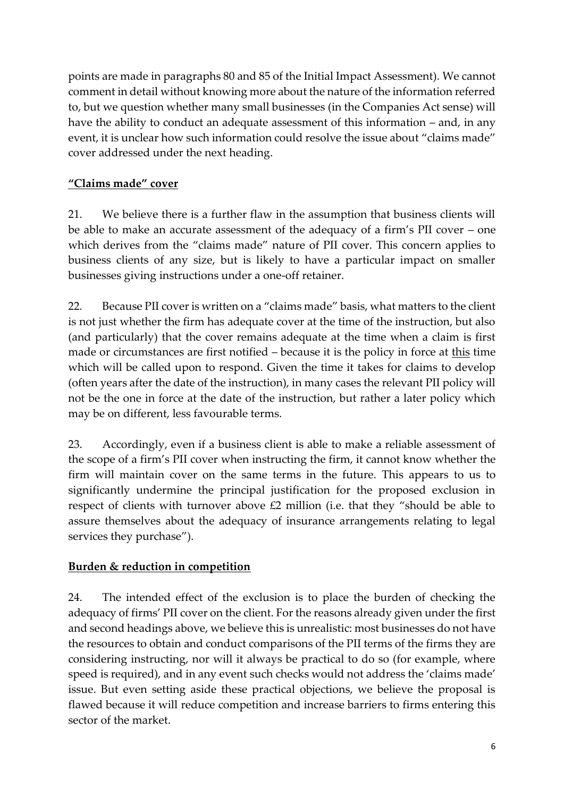points are made in paragraphs 80 and 85 of the Initial Impact Assessment). We cannot comment in detail without knowing more about the nature of the information referred to, but we question whether many small businesses (in the Companies Act sense) will have the ability to conduct an adequate assessment of this information – and, in any event, it is unclear how such information could resolve the issue about "claims made" cover addressed under the next heading.

# **"Claims made" cover**

21. We believe there is a further flaw in the assumption that business clients will be able to make an accurate assessment of the adequacy of a firm's PII cover – one which derives from the "claims made" nature of PII cover. This concern applies to business clients of any size, but is likely to have a particular impact on smaller businesses giving instructions under a one-off retainer.

22. Because PII cover is written on a "claims made" basis, what matters to the client is not just whether the firm has adequate cover at the time of the instruction, but also (and particularly) that the cover remains adequate at the time when a claim is first made or circumstances are first notified – because it is the policy in force at this time which will be called upon to respond. Given the time it takes for claims to develop (often years after the date of the instruction), in many cases the relevant PII policy will not be the one in force at the date of the instruction, but rather a later policy which may be on different, less favourable terms.

23. Accordingly, even if a business client is able to make a reliable assessment of the scope of a firm's PII cover when instructing the firm, it cannot know whether the firm will maintain cover on the same terms in the future. This appears to us to significantly undermine the principal justification for the proposed exclusion in respect of clients with turnover above £2 million (i.e. that they "should be able to assure themselves about the adequacy of insurance arrangements relating to legal services they purchase").

## **Burden & reduction in competition**

24. The intended effect of the exclusion is to place the burden of checking the adequacy of firms' PII cover on the client. For the reasons already given under the first and second headings above, we believe this is unrealistic: most businesses do not have the resources to obtain and conduct comparisons of the PII terms of the firms they are considering instructing, nor will it always be practical to do so (for example, where speed is required), and in any event such checks would not address the 'claims made' issue. But even setting aside these practical objections, we believe the proposal is flawed because it will reduce competition and increase barriers to firms entering this sector of the market.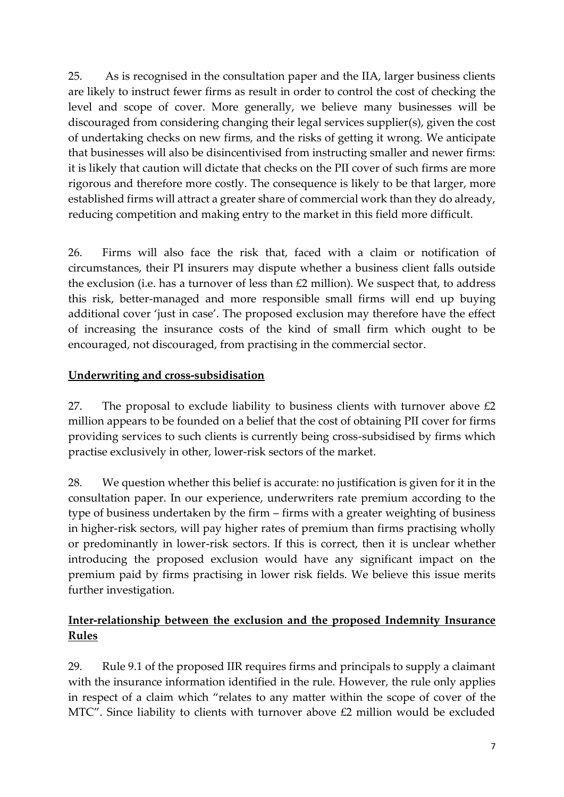25. As is recognised in the consultation paper and the IIA, larger business clients are likely to instruct fewer firms as result in order to control the cost of checking the level and scope of cover. More generally, we believe many businesses will be discouraged from considering changing their legal services supplier(s), given the cost of undertaking checks on new firms, and the risks of getting it wrong. We anticipate that businesses will also be disincentivised from instructing smaller and newer firms: it is likely that caution will dictate that checks on the PII cover of such firms are more rigorous and therefore more costly. The consequence is likely to be that larger, more established firms will attract a greater share of commercial work than they do already, reducing competition and making entry to the market in this field more difficult.

26. Firms will also face the risk that, faced with a claim or notification of circumstances, their PI insurers may dispute whether a business client falls outside the exclusion (i.e. has a turnover of less than £2 million). We suspect that, to address this risk, better-managed and more responsible small firms will end up buying additional cover 'just in case'. The proposed exclusion may therefore have the effect of increasing the insurance costs of the kind of small firm which ought to be encouraged, not discouraged, from practising in the commercial sector.

### **Underwriting and cross-subsidisation**

27. The proposal to exclude liability to business clients with turnover above  $\text{\pounds}2$ million appears to be founded on a belief that the cost of obtaining PII cover for firms providing services to such clients is currently being cross-subsidised by firms which practise exclusively in other, lower-risk sectors of the market.

28. We question whether this belief is accurate: no justification is given for it in the consultation paper. In our experience, underwriters rate premium according to the type of business undertaken by the firm – firms with a greater weighting of business in higher-risk sectors, will pay higher rates of premium than firms practising wholly or predominantly in lower-risk sectors. If this is correct, then it is unclear whether introducing the proposed exclusion would have any significant impact on the premium paid by firms practising in lower risk fields. We believe this issue merits further investigation.

## **Inter-relationship between the exclusion and the proposed Indemnity Insurance Rules**

29. Rule 9.1 of the proposed IIR requires firms and principals to supply a claimant with the insurance information identified in the rule. However, the rule only applies in respect of a claim which "relates to any matter within the scope of cover of the MTC". Since liability to clients with turnover above £2 million would be excluded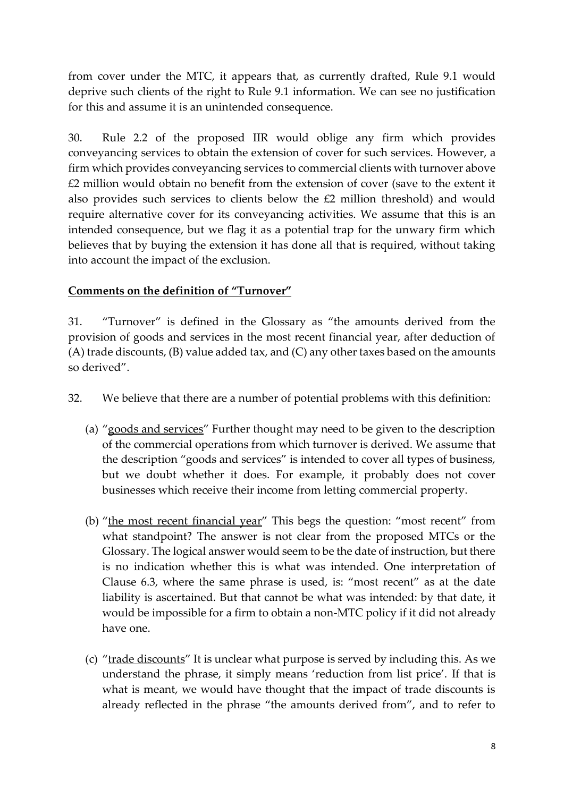from cover under the MTC, it appears that, as currently drafted, Rule 9.1 would deprive such clients of the right to Rule 9.1 information. We can see no justification for this and assume it is an unintended consequence.

30. Rule 2.2 of the proposed IIR would oblige any firm which provides conveyancing services to obtain the extension of cover for such services. However, a firm which provides conveyancing services to commercial clients with turnover above £2 million would obtain no benefit from the extension of cover (save to the extent it also provides such services to clients below the £2 million threshold) and would require alternative cover for its conveyancing activities. We assume that this is an intended consequence, but we flag it as a potential trap for the unwary firm which believes that by buying the extension it has done all that is required, without taking into account the impact of the exclusion.

### **Comments on the definition of "Turnover"**

31. "Turnover" is defined in the Glossary as "the amounts derived from the provision of goods and services in the most recent financial year, after deduction of (A) trade discounts, (B) value added tax, and (C) any other taxes based on the amounts so derived".

- 32. We believe that there are a number of potential problems with this definition:
	- (a) "goods and services" Further thought may need to be given to the description of the commercial operations from which turnover is derived. We assume that the description "goods and services" is intended to cover all types of business, but we doubt whether it does. For example, it probably does not cover businesses which receive their income from letting commercial property.
	- (b) "the most recent financial year" This begs the question: "most recent" from what standpoint? The answer is not clear from the proposed MTCs or the Glossary. The logical answer would seem to be the date of instruction, but there is no indication whether this is what was intended. One interpretation of Clause 6.3, where the same phrase is used, is: "most recent" as at the date liability is ascertained. But that cannot be what was intended: by that date, it would be impossible for a firm to obtain a non-MTC policy if it did not already have one.
	- (c) "trade discounts" It is unclear what purpose is served by including this. As we understand the phrase, it simply means 'reduction from list price'. If that is what is meant, we would have thought that the impact of trade discounts is already reflected in the phrase "the amounts derived from", and to refer to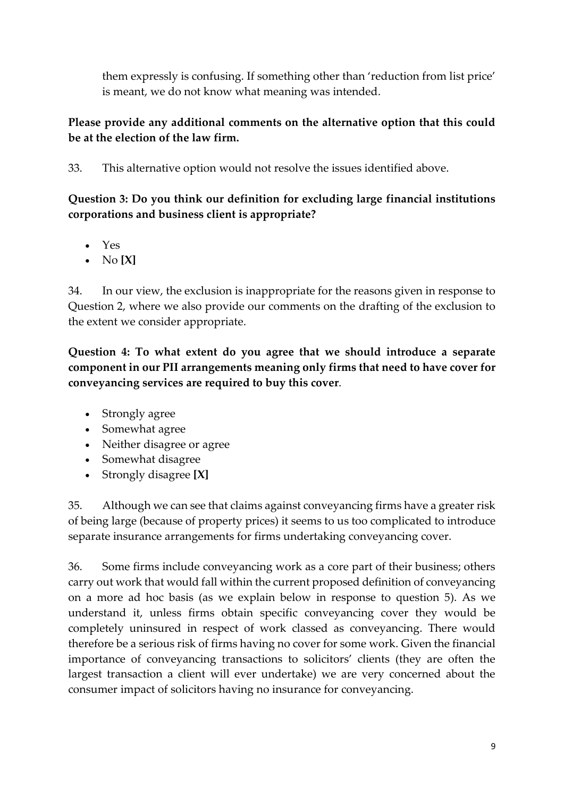them expressly is confusing. If something other than 'reduction from list price' is meant, we do not know what meaning was intended.

## **Please provide any additional comments on the alternative option that this could be at the election of the law firm.**

33. This alternative option would not resolve the issues identified above.

**Question 3: Do you think our definition for excluding large financial institutions corporations and business client is appropriate?** 

- Yes
- No **[X]**

34. In our view, the exclusion is inappropriate for the reasons given in response to Question 2, where we also provide our comments on the drafting of the exclusion to the extent we consider appropriate.

**Question 4: To what extent do you agree that we should introduce a separate component in our PII arrangements meaning only firms that need to have cover for conveyancing services are required to buy this cover**.

- Strongly agree
- Somewhat agree
- Neither disagree or agree
- Somewhat disagree
- Strongly disagree **[X]**

35. Although we can see that claims against conveyancing firms have a greater risk of being large (because of property prices) it seems to us too complicated to introduce separate insurance arrangements for firms undertaking conveyancing cover.

36. Some firms include conveyancing work as a core part of their business; others carry out work that would fall within the current proposed definition of conveyancing on a more ad hoc basis (as we explain below in response to question 5). As we understand it, unless firms obtain specific conveyancing cover they would be completely uninsured in respect of work classed as conveyancing. There would therefore be a serious risk of firms having no cover for some work. Given the financial importance of conveyancing transactions to solicitors' clients (they are often the largest transaction a client will ever undertake) we are very concerned about the consumer impact of solicitors having no insurance for conveyancing.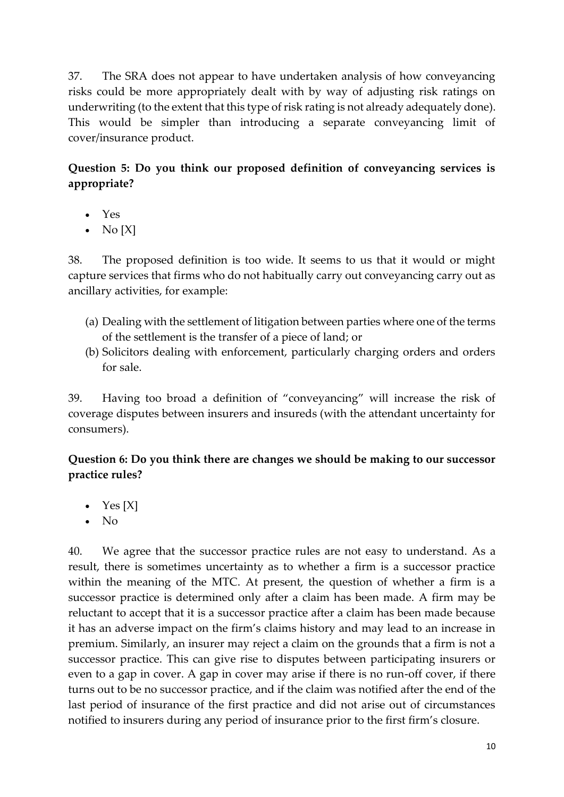37. The SRA does not appear to have undertaken analysis of how conveyancing risks could be more appropriately dealt with by way of adjusting risk ratings on underwriting (to the extent that this type of risk rating is not already adequately done). This would be simpler than introducing a separate conveyancing limit of cover/insurance product.

# **Question 5: Do you think our proposed definition of conveyancing services is appropriate?**

- Yes
- No  $[X]$

38. The proposed definition is too wide. It seems to us that it would or might capture services that firms who do not habitually carry out conveyancing carry out as ancillary activities, for example:

- (a) Dealing with the settlement of litigation between parties where one of the terms of the settlement is the transfer of a piece of land; or
- (b) Solicitors dealing with enforcement, particularly charging orders and orders for sale.

39. Having too broad a definition of "conveyancing" will increase the risk of coverage disputes between insurers and insureds (with the attendant uncertainty for consumers).

### **Question 6: Do you think there are changes we should be making to our successor practice rules?**

- Yes  $[X]$
- No

40. We agree that the successor practice rules are not easy to understand. As a result, there is sometimes uncertainty as to whether a firm is a successor practice within the meaning of the MTC. At present, the question of whether a firm is a successor practice is determined only after a claim has been made. A firm may be reluctant to accept that it is a successor practice after a claim has been made because it has an adverse impact on the firm's claims history and may lead to an increase in premium. Similarly, an insurer may reject a claim on the grounds that a firm is not a successor practice. This can give rise to disputes between participating insurers or even to a gap in cover. A gap in cover may arise if there is no run-off cover, if there turns out to be no successor practice, and if the claim was notified after the end of the last period of insurance of the first practice and did not arise out of circumstances notified to insurers during any period of insurance prior to the first firm's closure.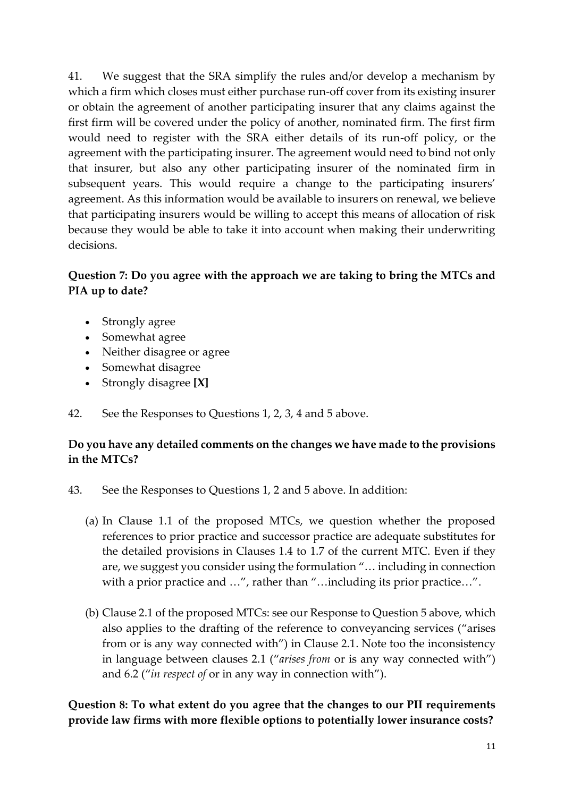41. We suggest that the SRA simplify the rules and/or develop a mechanism by which a firm which closes must either purchase run-off cover from its existing insurer or obtain the agreement of another participating insurer that any claims against the first firm will be covered under the policy of another, nominated firm. The first firm would need to register with the SRA either details of its run-off policy, or the agreement with the participating insurer. The agreement would need to bind not only that insurer, but also any other participating insurer of the nominated firm in subsequent years. This would require a change to the participating insurers' agreement. As this information would be available to insurers on renewal, we believe that participating insurers would be willing to accept this means of allocation of risk because they would be able to take it into account when making their underwriting decisions.

### **Question 7: Do you agree with the approach we are taking to bring the MTCs and PIA up to date?**

- Strongly agree
- Somewhat agree
- Neither disagree or agree
- Somewhat disagree
- Strongly disagree **[X]**

42. See the Responses to Questions 1, 2, 3, 4 and 5 above.

## **Do you have any detailed comments on the changes we have made to the provisions in the MTCs?**

- 43. See the Responses to Questions 1, 2 and 5 above. In addition:
	- (a) In Clause 1.1 of the proposed MTCs, we question whether the proposed references to prior practice and successor practice are adequate substitutes for the detailed provisions in Clauses 1.4 to 1.7 of the current MTC. Even if they are, we suggest you consider using the formulation "… including in connection with a prior practice and ...", rather than "...including its prior practice...".
	- (b) Clause 2.1 of the proposed MTCs: see our Response to Question 5 above, which also applies to the drafting of the reference to conveyancing services ("arises from or is any way connected with") in Clause 2.1. Note too the inconsistency in language between clauses 2.1 ("*arises from* or is any way connected with") and 6.2 ("*in respect of* or in any way in connection with").

**Question 8: To what extent do you agree that the changes to our PII requirements provide law firms with more flexible options to potentially lower insurance costs?**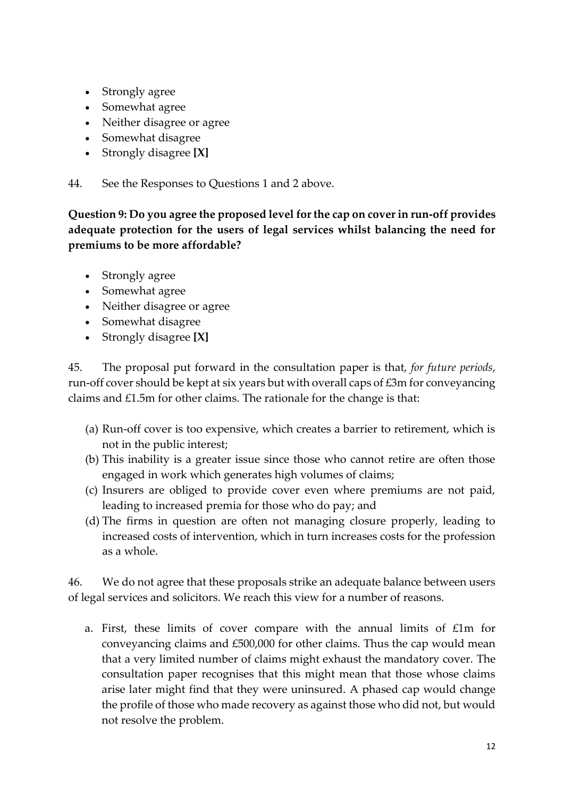- Strongly agree
- Somewhat agree
- Neither disagree or agree
- Somewhat disagree
- Strongly disagree **[X]**

44. See the Responses to Questions 1 and 2 above.

**Question 9: Do you agree the proposed level for the cap on cover in run-off provides adequate protection for the users of legal services whilst balancing the need for premiums to be more affordable?** 

- Strongly agree
- Somewhat agree
- Neither disagree or agree
- Somewhat disagree
- Strongly disagree **[X]**

45. The proposal put forward in the consultation paper is that, *for future periods*, run-off cover should be kept at six years but with overall caps of £3m for conveyancing claims and £1.5m for other claims. The rationale for the change is that:

- (a) Run-off cover is too expensive, which creates a barrier to retirement, which is not in the public interest;
- (b) This inability is a greater issue since those who cannot retire are often those engaged in work which generates high volumes of claims;
- (c) Insurers are obliged to provide cover even where premiums are not paid, leading to increased premia for those who do pay; and
- (d) The firms in question are often not managing closure properly, leading to increased costs of intervention, which in turn increases costs for the profession as a whole.

46. We do not agree that these proposals strike an adequate balance between users of legal services and solicitors. We reach this view for a number of reasons.

a. First, these limits of cover compare with the annual limits of £1m for conveyancing claims and £500,000 for other claims. Thus the cap would mean that a very limited number of claims might exhaust the mandatory cover. The consultation paper recognises that this might mean that those whose claims arise later might find that they were uninsured. A phased cap would change the profile of those who made recovery as against those who did not, but would not resolve the problem.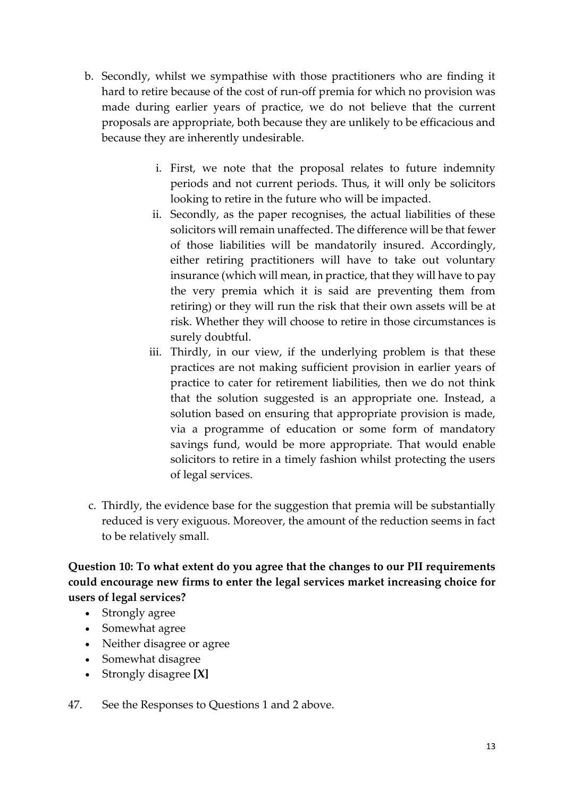- b. Secondly, whilst we sympathise with those practitioners who are finding it hard to retire because of the cost of run-off premia for which no provision was made during earlier years of practice, we do not believe that the current proposals are appropriate, both because they are unlikely to be efficacious and because they are inherently undesirable.
	- i. First, we note that the proposal relates to future indemnity periods and not current periods. Thus, it will only be solicitors looking to retire in the future who will be impacted.
	- ii. Secondly, as the paper recognises, the actual liabilities of these solicitors will remain unaffected. The difference will be that fewer of those liabilities will be mandatorily insured. Accordingly, either retiring practitioners will have to take out voluntary insurance (which will mean, in practice, that they will have to pay the very premia which it is said are preventing them from retiring) or they will run the risk that their own assets will be at risk. Whether they will choose to retire in those circumstances is surely doubtful.
	- iii. Thirdly, in our view, if the underlying problem is that these practices are not making sufficient provision in earlier years of practice to cater for retirement liabilities, then we do not think that the solution suggested is an appropriate one. Instead, a solution based on ensuring that appropriate provision is made, via a programme of education or some form of mandatory savings fund, would be more appropriate. That would enable solicitors to retire in a timely fashion whilst protecting the users of legal services.
- c. Thirdly, the evidence base for the suggestion that premia will be substantially reduced is very exiguous. Moreover, the amount of the reduction seems in fact to be relatively small.

**Question 10: To what extent do you agree that the changes to our PII requirements could encourage new firms to enter the legal services market increasing choice for users of legal services?**

- Strongly agree
- Somewhat agree
- Neither disagree or agree
- Somewhat disagree
- Strongly disagree **[X]**

47. See the Responses to Questions 1 and 2 above.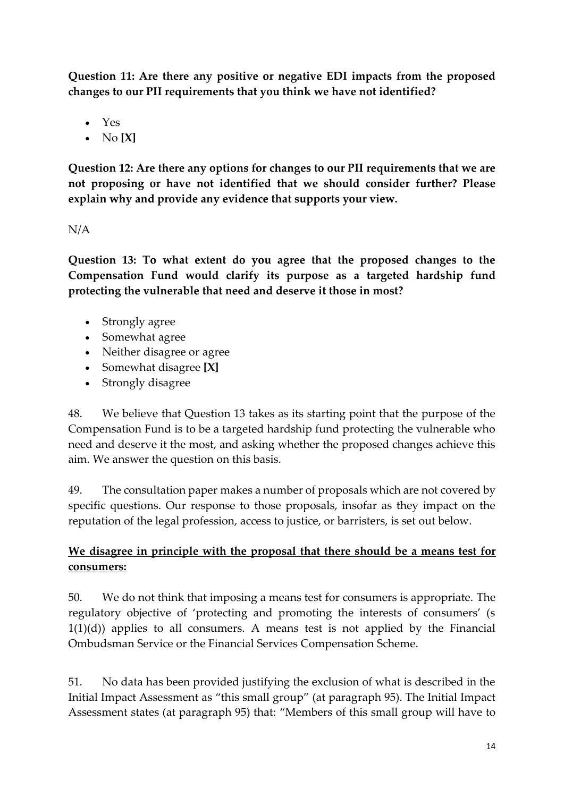**Question 11: Are there any positive or negative EDI impacts from the proposed changes to our PII requirements that you think we have not identified?**

- Yes
- No **[X]**

**Question 12: Are there any options for changes to our PII requirements that we are not proposing or have not identified that we should consider further? Please explain why and provide any evidence that supports your view.**

N/A

**Question 13: To what extent do you agree that the proposed changes to the Compensation Fund would clarify its purpose as a targeted hardship fund protecting the vulnerable that need and deserve it those in most?** 

- Strongly agree
- Somewhat agree
- Neither disagree or agree
- Somewhat disagree **[X]**
- Strongly disagree

48. We believe that Question 13 takes as its starting point that the purpose of the Compensation Fund is to be a targeted hardship fund protecting the vulnerable who need and deserve it the most, and asking whether the proposed changes achieve this aim. We answer the question on this basis.

49. The consultation paper makes a number of proposals which are not covered by specific questions. Our response to those proposals, insofar as they impact on the reputation of the legal profession, access to justice, or barristers, is set out below.

# **We disagree in principle with the proposal that there should be a means test for consumers:**

50. We do not think that imposing a means test for consumers is appropriate. The regulatory objective of 'protecting and promoting the interests of consumers' (s  $1(1)(d)$  applies to all consumers. A means test is not applied by the Financial Ombudsman Service or the Financial Services Compensation Scheme.

51. No data has been provided justifying the exclusion of what is described in the Initial Impact Assessment as "this small group" (at paragraph 95). The Initial Impact Assessment states (at paragraph 95) that: "Members of this small group will have to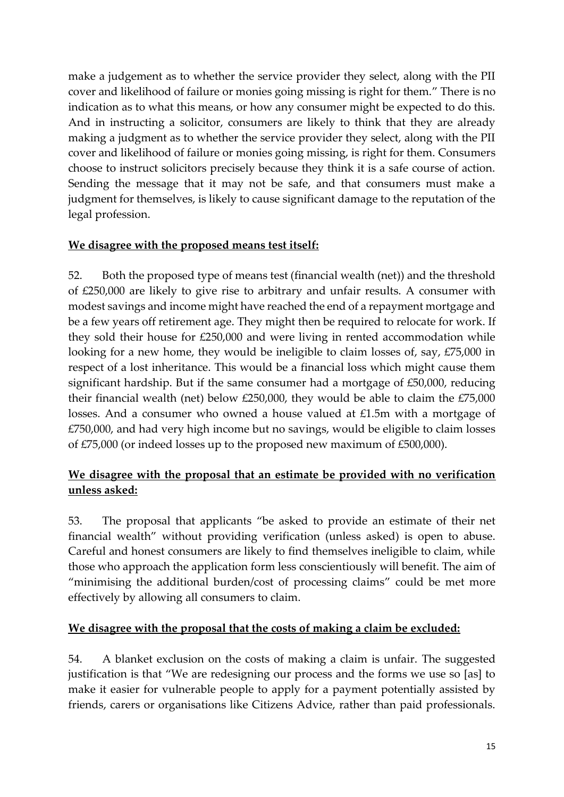make a judgement as to whether the service provider they select, along with the PII cover and likelihood of failure or monies going missing is right for them." There is no indication as to what this means, or how any consumer might be expected to do this. And in instructing a solicitor, consumers are likely to think that they are already making a judgment as to whether the service provider they select, along with the PII cover and likelihood of failure or monies going missing, is right for them. Consumers choose to instruct solicitors precisely because they think it is a safe course of action. Sending the message that it may not be safe, and that consumers must make a judgment for themselves, is likely to cause significant damage to the reputation of the legal profession.

### **We disagree with the proposed means test itself:**

52. Both the proposed type of means test (financial wealth (net)) and the threshold of £250,000 are likely to give rise to arbitrary and unfair results. A consumer with modest savings and income might have reached the end of a repayment mortgage and be a few years off retirement age. They might then be required to relocate for work. If they sold their house for £250,000 and were living in rented accommodation while looking for a new home, they would be ineligible to claim losses of, say, £75,000 in respect of a lost inheritance. This would be a financial loss which might cause them significant hardship. But if the same consumer had a mortgage of £50,000, reducing their financial wealth (net) below £250,000, they would be able to claim the £75,000 losses. And a consumer who owned a house valued at £1.5m with a mortgage of £750,000, and had very high income but no savings, would be eligible to claim losses of £75,000 (or indeed losses up to the proposed new maximum of £500,000).

## **We disagree with the proposal that an estimate be provided with no verification unless asked:**

53. The proposal that applicants "be asked to provide an estimate of their net financial wealth" without providing verification (unless asked) is open to abuse. Careful and honest consumers are likely to find themselves ineligible to claim, while those who approach the application form less conscientiously will benefit. The aim of "minimising the additional burden/cost of processing claims" could be met more effectively by allowing all consumers to claim.

## **We disagree with the proposal that the costs of making a claim be excluded:**

54. A blanket exclusion on the costs of making a claim is unfair. The suggested justification is that "We are redesigning our process and the forms we use so [as] to make it easier for vulnerable people to apply for a payment potentially assisted by friends, carers or organisations like Citizens Advice, rather than paid professionals.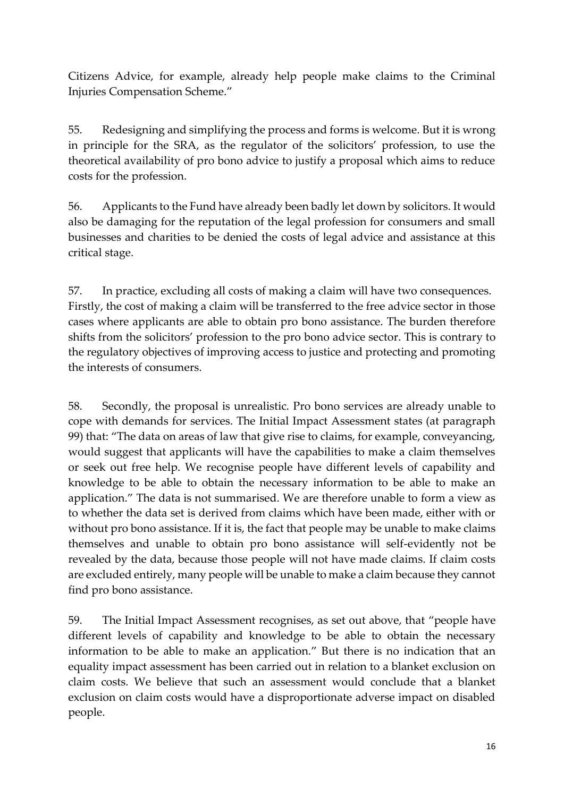Citizens Advice, for example, already help people make claims to the Criminal Injuries Compensation Scheme."

55. Redesigning and simplifying the process and forms is welcome. But it is wrong in principle for the SRA, as the regulator of the solicitors' profession, to use the theoretical availability of pro bono advice to justify a proposal which aims to reduce costs for the profession.

56. Applicants to the Fund have already been badly let down by solicitors. It would also be damaging for the reputation of the legal profession for consumers and small businesses and charities to be denied the costs of legal advice and assistance at this critical stage.

57. In practice, excluding all costs of making a claim will have two consequences. Firstly, the cost of making a claim will be transferred to the free advice sector in those cases where applicants are able to obtain pro bono assistance. The burden therefore shifts from the solicitors' profession to the pro bono advice sector. This is contrary to the regulatory objectives of improving access to justice and protecting and promoting the interests of consumers.

58. Secondly, the proposal is unrealistic. Pro bono services are already unable to cope with demands for services. The Initial Impact Assessment states (at paragraph 99) that: "The data on areas of law that give rise to claims, for example, conveyancing, would suggest that applicants will have the capabilities to make a claim themselves or seek out free help. We recognise people have different levels of capability and knowledge to be able to obtain the necessary information to be able to make an application." The data is not summarised. We are therefore unable to form a view as to whether the data set is derived from claims which have been made, either with or without pro bono assistance. If it is, the fact that people may be unable to make claims themselves and unable to obtain pro bono assistance will self-evidently not be revealed by the data, because those people will not have made claims. If claim costs are excluded entirely, many people will be unable to make a claim because they cannot find pro bono assistance.

59. The Initial Impact Assessment recognises, as set out above, that "people have different levels of capability and knowledge to be able to obtain the necessary information to be able to make an application." But there is no indication that an equality impact assessment has been carried out in relation to a blanket exclusion on claim costs. We believe that such an assessment would conclude that a blanket exclusion on claim costs would have a disproportionate adverse impact on disabled people.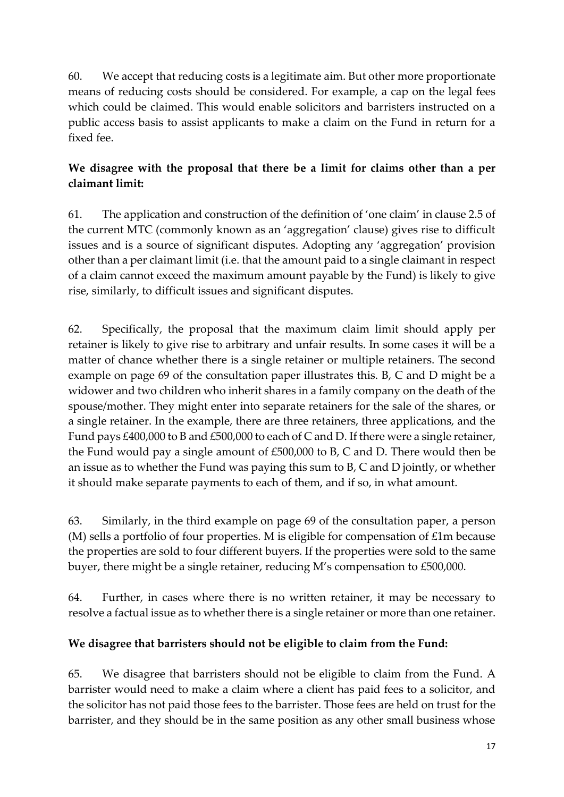60. We accept that reducing costs is a legitimate aim. But other more proportionate means of reducing costs should be considered. For example, a cap on the legal fees which could be claimed. This would enable solicitors and barristers instructed on a public access basis to assist applicants to make a claim on the Fund in return for a fixed fee.

# **We disagree with the proposal that there be a limit for claims other than a per claimant limit:**

61. The application and construction of the definition of 'one claim' in clause 2.5 of the current MTC (commonly known as an 'aggregation' clause) gives rise to difficult issues and is a source of significant disputes. Adopting any 'aggregation' provision other than a per claimant limit (i.e. that the amount paid to a single claimant in respect of a claim cannot exceed the maximum amount payable by the Fund) is likely to give rise, similarly, to difficult issues and significant disputes.

62. Specifically, the proposal that the maximum claim limit should apply per retainer is likely to give rise to arbitrary and unfair results. In some cases it will be a matter of chance whether there is a single retainer or multiple retainers. The second example on page 69 of the consultation paper illustrates this. B, C and D might be a widower and two children who inherit shares in a family company on the death of the spouse/mother. They might enter into separate retainers for the sale of the shares, or a single retainer. In the example, there are three retainers, three applications, and the Fund pays £400,000 to B and £500,000 to each of C and D. If there were a single retainer, the Fund would pay a single amount of £500,000 to B, C and D. There would then be an issue as to whether the Fund was paying this sum to B, C and D jointly, or whether it should make separate payments to each of them, and if so, in what amount.

63. Similarly, in the third example on page 69 of the consultation paper, a person (M) sells a portfolio of four properties. M is eligible for compensation of £1m because the properties are sold to four different buyers. If the properties were sold to the same buyer, there might be a single retainer, reducing M's compensation to £500,000.

64. Further, in cases where there is no written retainer, it may be necessary to resolve a factual issue as to whether there is a single retainer or more than one retainer.

## **We disagree that barristers should not be eligible to claim from the Fund:**

65. We disagree that barristers should not be eligible to claim from the Fund. A barrister would need to make a claim where a client has paid fees to a solicitor, and the solicitor has not paid those fees to the barrister. Those fees are held on trust for the barrister, and they should be in the same position as any other small business whose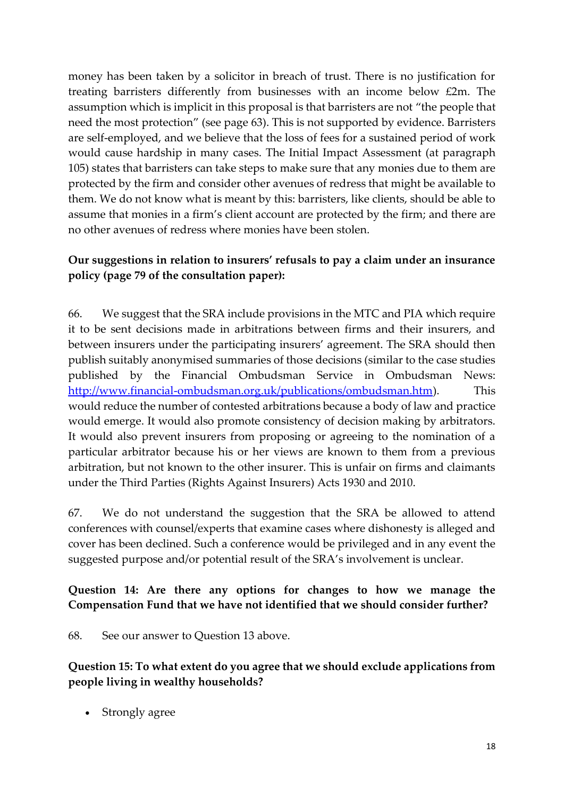money has been taken by a solicitor in breach of trust. There is no justification for treating barristers differently from businesses with an income below £2m. The assumption which is implicit in this proposal is that barristers are not "the people that need the most protection" (see page 63). This is not supported by evidence. Barristers are self-employed, and we believe that the loss of fees for a sustained period of work would cause hardship in many cases. The Initial Impact Assessment (at paragraph 105) states that barristers can take steps to make sure that any monies due to them are protected by the firm and consider other avenues of redress that might be available to them. We do not know what is meant by this: barristers, like clients, should be able to assume that monies in a firm's client account are protected by the firm; and there are no other avenues of redress where monies have been stolen.

## **Our suggestions in relation to insurers' refusals to pay a claim under an insurance policy (page 79 of the consultation paper):**

66. We suggest that the SRA include provisions in the MTC and PIA which require it to be sent decisions made in arbitrations between firms and their insurers, and between insurers under the participating insurers' agreement. The SRA should then publish suitably anonymised summaries of those decisions (similar to the case studies published by the Financial Ombudsman Service in Ombudsman News: [http://www.financial-ombudsman.org.uk/publications/ombudsman.htm\)](http://www.financial-ombudsman.org.uk/publications/ombudsman.htm). This would reduce the number of contested arbitrations because a body of law and practice would emerge. It would also promote consistency of decision making by arbitrators. It would also prevent insurers from proposing or agreeing to the nomination of a particular arbitrator because his or her views are known to them from a previous arbitration, but not known to the other insurer. This is unfair on firms and claimants under the Third Parties (Rights Against Insurers) Acts 1930 and 2010.

67. We do not understand the suggestion that the SRA be allowed to attend conferences with counsel/experts that examine cases where dishonesty is alleged and cover has been declined. Such a conference would be privileged and in any event the suggested purpose and/or potential result of the SRA's involvement is unclear.

## **Question 14: Are there any options for changes to how we manage the Compensation Fund that we have not identified that we should consider further?**

68. See our answer to Question 13 above.

## **Question 15: To what extent do you agree that we should exclude applications from people living in wealthy households?**

Strongly agree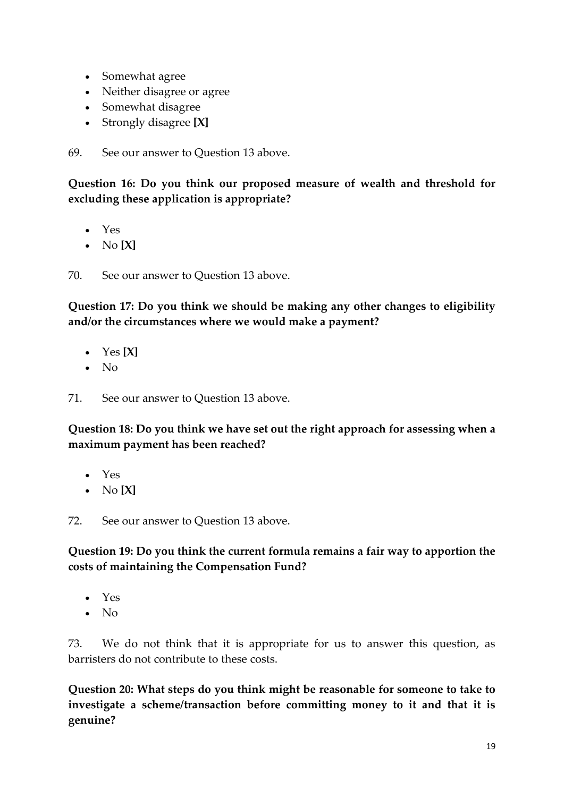- Somewhat agree
- Neither disagree or agree
- Somewhat disagree
- Strongly disagree **[X]**

69. See our answer to Question 13 above.

**Question 16: Do you think our proposed measure of wealth and threshold for excluding these application is appropriate?**

- Yes
- No **[X]**

70. See our answer to Question 13 above.

**Question 17: Do you think we should be making any other changes to eligibility and/or the circumstances where we would make a payment?**

- Yes **[X]**
- No

71. See our answer to Question 13 above.

**Question 18: Do you think we have set out the right approach for assessing when a maximum payment has been reached?**

- Yes
- No **[X]**

72. See our answer to Question 13 above.

**Question 19: Do you think the current formula remains a fair way to apportion the costs of maintaining the Compensation Fund?** 

- Yes
- No

73. We do not think that it is appropriate for us to answer this question, as barristers do not contribute to these costs.

**Question 20: What steps do you think might be reasonable for someone to take to investigate a scheme/transaction before committing money to it and that it is genuine?**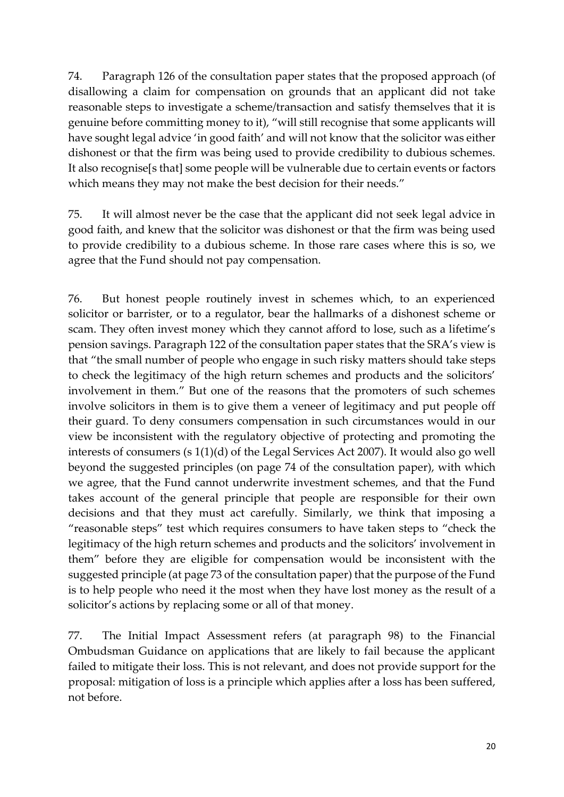74. Paragraph 126 of the consultation paper states that the proposed approach (of disallowing a claim for compensation on grounds that an applicant did not take reasonable steps to investigate a scheme/transaction and satisfy themselves that it is genuine before committing money to it), "will still recognise that some applicants will have sought legal advice 'in good faith' and will not know that the solicitor was either dishonest or that the firm was being used to provide credibility to dubious schemes. It also recognise[s that] some people will be vulnerable due to certain events or factors which means they may not make the best decision for their needs."

75. It will almost never be the case that the applicant did not seek legal advice in good faith, and knew that the solicitor was dishonest or that the firm was being used to provide credibility to a dubious scheme. In those rare cases where this is so, we agree that the Fund should not pay compensation.

76. But honest people routinely invest in schemes which, to an experienced solicitor or barrister, or to a regulator, bear the hallmarks of a dishonest scheme or scam. They often invest money which they cannot afford to lose, such as a lifetime's pension savings. Paragraph 122 of the consultation paper states that the SRA's view is that "the small number of people who engage in such risky matters should take steps to check the legitimacy of the high return schemes and products and the solicitors' involvement in them." But one of the reasons that the promoters of such schemes involve solicitors in them is to give them a veneer of legitimacy and put people off their guard. To deny consumers compensation in such circumstances would in our view be inconsistent with the regulatory objective of protecting and promoting the interests of consumers (s 1(1)(d) of the Legal Services Act 2007). It would also go well beyond the suggested principles (on page 74 of the consultation paper), with which we agree, that the Fund cannot underwrite investment schemes, and that the Fund takes account of the general principle that people are responsible for their own decisions and that they must act carefully. Similarly, we think that imposing a "reasonable steps" test which requires consumers to have taken steps to "check the legitimacy of the high return schemes and products and the solicitors' involvement in them" before they are eligible for compensation would be inconsistent with the suggested principle (at page 73 of the consultation paper) that the purpose of the Fund is to help people who need it the most when they have lost money as the result of a solicitor's actions by replacing some or all of that money.

77. The Initial Impact Assessment refers (at paragraph 98) to the Financial Ombudsman Guidance on applications that are likely to fail because the applicant failed to mitigate their loss. This is not relevant, and does not provide support for the proposal: mitigation of loss is a principle which applies after a loss has been suffered, not before.